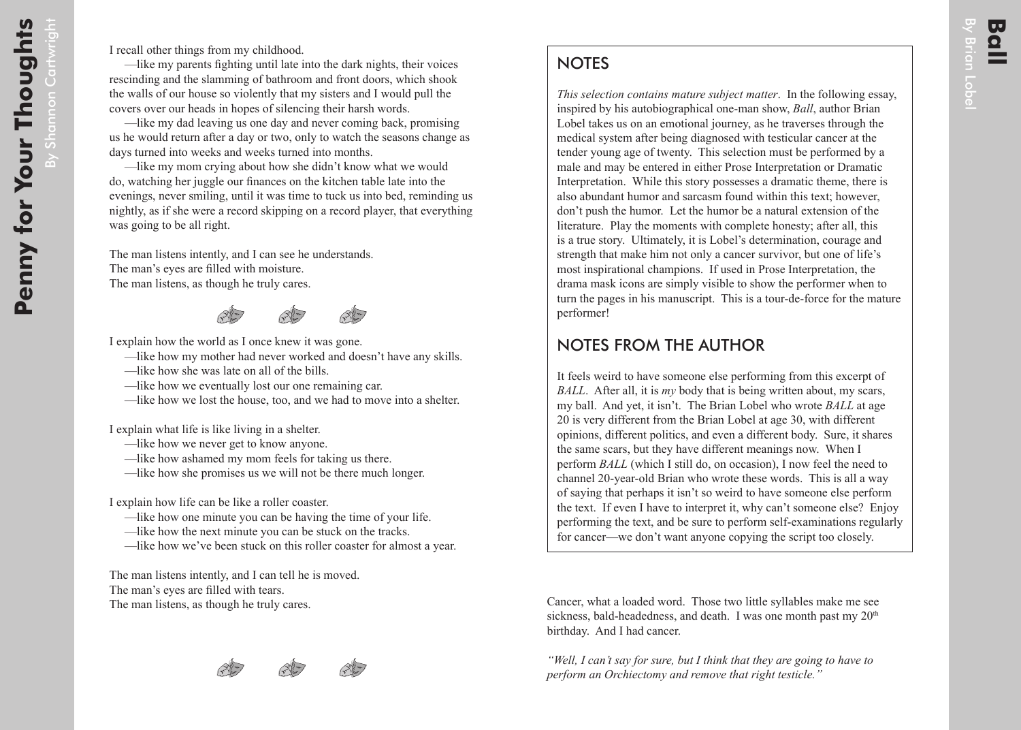## **NOTES**

*This selection contains mature subject matter*. In the following essay, inspired by his autobiographical one-man show, *Ball*, author Brian Lobel takes us on an emotional journey, as he traverses through the medical system after being diagnosed with testicular cancer at the tender young age of twenty. This selection must be performed by a male and may be entered in either Prose Interpretation or Dramatic Interpretation. While this story possesses a dramatic theme, there is also abundant humor and sarcasm found within this text; however, don't push the humor. Let the humor be a natural extension of the literature. Play the moments with complete honesty; after all, this is a true story. Ultimately, it is Lobel's determination, courage and strength that make him not only a cancer survivor, but one of life's most inspirational champions. If used in Prose Interpretation, the drama mask icons are simply visible to show the performer when to turn the pages in his manuscript. This is a tour-de-force for the mature performer!

## NOTES FROM THE AUTHOR

It feels weird to have someone else performing from this excerpt of *BALL*. After all, it is *my* body that is being written about, my scars, my ball. And yet, it isn't. The Brian Lobel who wrote *BALL* at age 20 is very different from the Brian Lobel at age 30, with different opinions, different politics, and even a different body. Sure, it shares the same scars, but they have different meanings now. When I perform *BALL* (which I still do, on occasion), I now feel the need to channel 20-year-old Brian who wrote these words. This is all a way of saying that perhaps it isn't so weird to have someone else perform the text. If even I have to interpret it, why can't someone else? Enjoy performing the text, and be sure to perform self-examinations regularly for cancer—we don't want anyone copying the script too closely.

Cancer, what a loaded word. Those two little syllables make me see sickness, bald-headedness, and death. I was one month past my  $20<sup>th</sup>$ birthday. And I had cancer.

*"Well, I can't say for sure, but I think that they are going to have to perform an Orchiectomy and remove that right testicle."*